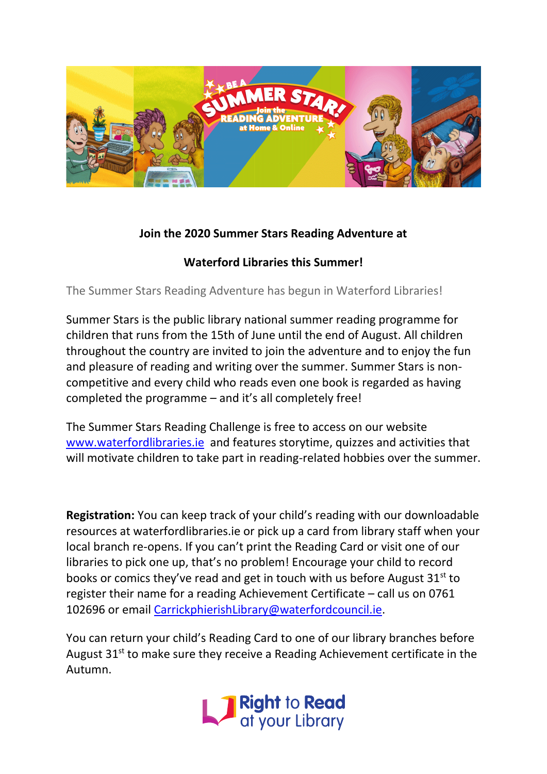

## **Join the 2020 Summer Stars Reading Adventure at**

## **Waterford Libraries this Summer!**

The Summer Stars Reading Adventure has begun in Waterford Libraries!

Summer Stars is the public library national summer reading programme for children that runs from the 15th of June until the end of August. All children throughout the country are invited to join the adventure and to enjoy the fun and pleasure of reading and writing over the summer. Summer Stars is noncompetitive and every child who reads even one book is regarded as having completed the programme – and it's all completely free!

The Summer Stars Reading Challenge is free to access on our website [www.waterfordlibraries.ie](http://www.waterfordlibraries.ie/) and features storytime, quizzes and activities that will motivate children to take part in reading-related hobbies over the summer.

**Registration:** You can keep track of your child's reading with our downloadable resources at waterfordlibraries.ie or pick up a card from library staff when your local branch re-opens. If you can't print the Reading Card or visit one of our libraries to pick one up, that's no problem! Encourage your child to record books or comics they've read and get in touch with us before August  $31<sup>st</sup>$  to register their name for a reading Achievement Certificate – call us on 0761 102696 or email [CarrickphierishLibrary@waterfordcouncil.ie.](mailto:CarrickphierishLibrary@waterfordcouncil.ie)

You can return your child's Reading Card to one of our library branches before August 31<sup>st</sup> to make sure they receive a Reading Achievement certificate in the Autumn.